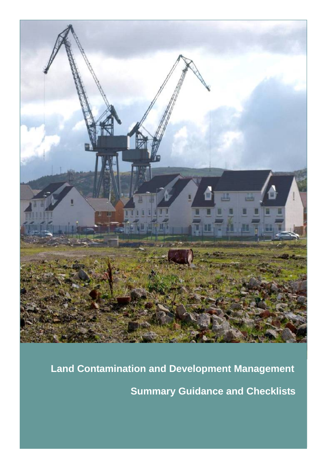

**Land Contamination and Development Management** 

**Summary Guidance and Checklists**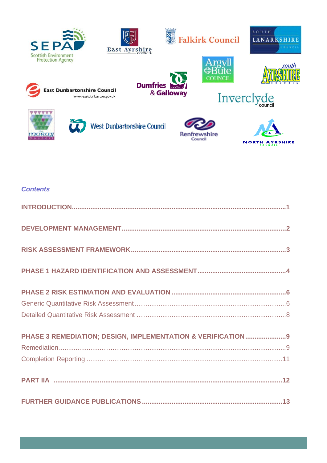

### **Contents**

| PHASE 3 REMEDIATION; DESIGN, IMPLEMENTATION & VERIFICATION9 |
|-------------------------------------------------------------|
|                                                             |
|                                                             |
|                                                             |
|                                                             |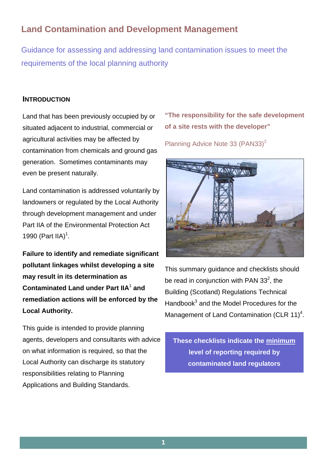# **Land Contamination and Development Management**

Guidance for assessing and addressing land contamination issues to meet the requirements of the local planning authority

## **INTRODUCTION**

Land that has been previously occupied by or situated adjacent to industrial, commercial or agricultural activities may be affected by contamination from chemicals and ground gas generation. Sometimes contaminants may even be present naturally.

Land contamination is addressed voluntarily by landowners or regulated by the Local Authority through development management and under Part IIA of the Environmental Protection Act 1990 (Part IIA)<sup>1</sup>.

**Failure to identify and remediate significant pollutant linkages whilst developing a site may result in its determination as Contaminated Land under Part IIA<sup>1</sup> and remediation actions will be enforced by the Local Authority.**

This guide is intended to provide planning agents, developers and consultants with advice on what information is required, so that the Local Authority can discharge its statutory responsibilities relating to Planning Applications and Building Standards.

**"The responsibility for the safe development of a site rests with the developer"** 

Planning Advice Note 33 (PAN33)<sup>2</sup>



This summary guidance and checklists should be read in conjunction with PAN  $33^2$ , the Building (Scotland) Regulations Technical Handbook<sup>3</sup> and the Model Procedures for the Management of Land Contamination (CLR  $11)^4$ .

**These checklists indicate the minimum level of reporting required by contaminated land regulators**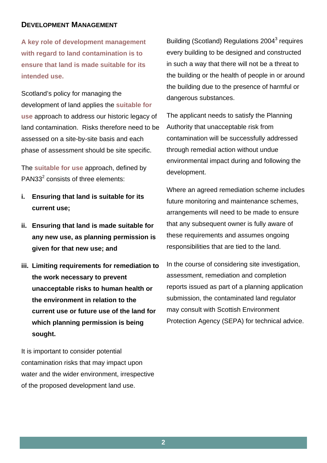## **DEVELOPMENT MANAGEMENT**

**A key role of development management with regard to land contamination is to ensure that land is made suitable for its intended use.** 

Scotland's policy for managing the development of land applies the **suitable for use** approach to address our historic legacy of land contamination. Risks therefore need to be assessed on a site-by-site basis and each phase of assessment should be site specific.

The **suitable for use** approach, defined by  $PAN33<sup>2</sup>$  consists of three elements:

- **i. Ensuring that land is suitable for its current use;**
- **ii. Ensuring that land is made suitable for any new use, as planning permission is given for that new use; and**
- **iii. Limiting requirements for remediation to the work necessary to prevent unacceptable risks to human health or the environment in relation to the current use or future use of the land for which planning permission is being sought.**

It is important to consider potential contamination risks that may impact upon water and the wider environment, irrespective of the proposed development land use.

Building (Scotland) Regulations 2004<sup>3</sup> requires every building to be designed and constructed in such a way that there will not be a threat to the building or the health of people in or around the building due to the presence of harmful or dangerous substances.

The applicant needs to satisfy the Planning Authority that unacceptable risk from contamination will be successfully addressed through remedial action without undue environmental impact during and following the development.

Where an agreed remediation scheme includes future monitoring and maintenance schemes, arrangements will need to be made to ensure that any subsequent owner is fully aware of these requirements and assumes ongoing responsibilities that are tied to the land.

In the course of considering site investigation, assessment, remediation and completion reports issued as part of a planning application submission, the contaminated land regulator may consult with Scottish Environment Protection Agency (SEPA) for technical advice.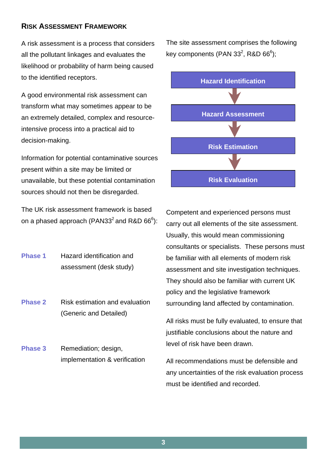## **RISK ASSESSMENT FRAMEWORK**

A risk assessment is a process that considers all the pollutant linkages and evaluates the likelihood or probability of harm being caused to the identified receptors.

A good environmental risk assessment can transform what may sometimes appear to be an extremely detailed, complex and resourceintensive process into a practical aid to decision-making.

Information for potential contaminative sources present within a site may be limited or unavailable, but these potential contamination sources should not then be disregarded.

The UK risk assessment framework is based on a phased approach (PAN33<sup>2</sup> and R&D 66 $^6$ ):

**Phase 1** Hazard identification and assessment (desk study)

**Phase 2** Risk estimation and evaluation (Generic and Detailed)

**Phase 3** Remediation; design, implementation & verification The site assessment comprises the following key components (PAN 33 $^2$ , R&D 66 $^6$ );



Competent and experienced persons must carry out all elements of the site assessment. Usually, this would mean commissioning consultants or specialists. These persons must be familiar with all elements of modern risk assessment and site investigation techniques. They should also be familiar with current UK policy and the legislative framework surrounding land affected by contamination.

All risks must be fully evaluated, to ensure that justifiable conclusions about the nature and level of risk have been drawn.

All recommendations must be defensible and any uncertainties of the risk evaluation process must be identified and recorded.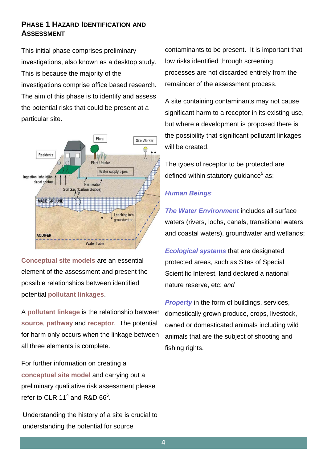## **PHASE 1 HAZARD IDENTIFICATION AND ASSESSMENT**

This initial phase comprises preliminary investigations, also known as a desktop study. This is because the majority of the investigations comprise office based research. The aim of this phase is to identify and assess the potential risks that could be present at a particular site.



**Conceptual site models** are an essential element of the assessment and present the possible relationships between identified potential **pollutant linkages**.

A **pollutant linkage** is the relationship between **source**, **pathway** and **receptor**. The potential for harm only occurs when the linkage between all three elements is complete.

For further information on creating a **conceptual site model** and carrying out a preliminary qualitative risk assessment please refer to CLR 11<sup>4</sup> and R&D 66 $^6$ .

Understanding the history of a site is crucial to understanding the potential for source

contaminants to be present. It is important that low risks identified through screening processes are not discarded entirely from the remainder of the assessment process.

A site containing contaminants may not cause significant harm to a receptor in its existing use, but where a development is proposed there is the possibility that significant pollutant linkages will be created.

The types of receptor to be protected are defined within statutory guidance<sup>5</sup> as;

## *Human Beings*;

*The Water Environment* includes all surface waters (rivers, lochs, canals, transitional waters and coastal waters), groundwater and wetlands;

*Ecological systems* that are designated protected areas, such as Sites of Special Scientific Interest, land declared a national nature reserve, etc; *and*

*Property* in the form of buildings, services, domestically grown produce, crops, livestock, owned or domesticated animals including wild animals that are the subject of shooting and fishing rights.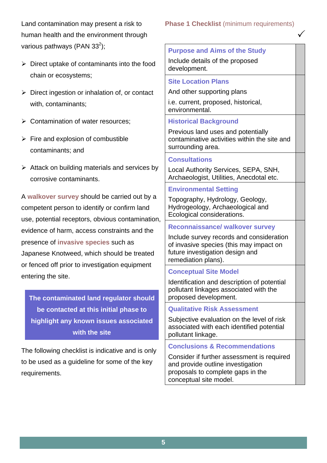Land contamination may present a risk to human health and the environment through various pathways (PAN 33<sup>2</sup>);

- $\triangleright$  Direct uptake of contaminants into the food chain or ecosystems;
- $\triangleright$  Direct ingestion or inhalation of, or contact with, contaminants;
- $\triangleright$  Contamination of water resources;
- $\triangleright$  Fire and explosion of combustible contaminants; and
- $\triangleright$  Attack on building materials and services by corrosive contaminants.

A **walkover survey** should be carried out by a competent person to identify or confirm land use, potential receptors, obvious contamination, evidence of harm, access constraints and the presence of **invasive species** such as Japanese Knotweed, which should be treated or fenced off prior to investigation equipment entering the site.

**The contaminated land regulator should be contacted at this initial phase to highlight any known issues associated with the site**

The following checklist is indicative and is only to be used as a guideline for some of the key requirements.

## **Phase 1 Checklist (minimum requirements)**

 $\checkmark$ 

Include details of the proposed development.

**Purpose and Aims of the Study**

## **Site Location Plans**

And other supporting plans i.e. current, proposed, historical,

environmental.

## **Historical Background**

Previous land uses and potentially contaminative activities within the site and surrounding area.

#### **Consultations**

Local Authority Services, SEPA, SNH, Archaeologist, Utilities, Anecdotal etc.

## **Environmental Setting**

Topography, Hydrology, Geology, Hydrogeology, Archaeological and Ecological considerations.

## **Reconnaissance/ walkover survey**

Include survey records and consideration of invasive species (this may impact on future investigation design and remediation plans).

## **Conceptual Site Model**

Identification and description of potential pollutant linkages associated with the proposed development.

#### **Qualitative Risk Assessment**

Subjective evaluation on the level of risk associated with each identified potential pollutant linkage.

## **Conclusions & Recommendations**

Consider if further assessment is required and provide outline investigation proposals to complete gaps in the conceptual site model.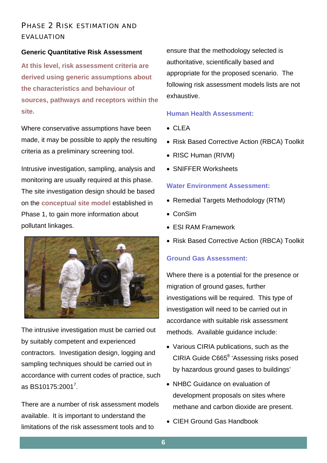# PHASE 2 RISK ESTIMATION AND EVALUATION

#### **Generic Quantitative Risk Assessment**

**At this level, risk assessment criteria are derived using generic assumptions about the characteristics and behaviour of sources, pathways and receptors within the site.** 

Where conservative assumptions have been made, it may be possible to apply the resulting criteria as a preliminary screening tool.

Intrusive investigation, sampling, analysis and monitoring are usually required at this phase. The site investigation design should be based on the **conceptual site model** established in Phase 1, to gain more information about pollutant linkages.



The intrusive investigation must be carried out by suitably competent and experienced contractors. Investigation design, logging and sampling techniques should be carried out in accordance with current codes of practice, such as BS10175:2001<sup>7</sup>.

There are a number of risk assessment models available. It is important to understand the limitations of the risk assessment tools and to

ensure that the methodology selected is authoritative, scientifically based and appropriate for the proposed scenario. The following risk assessment models lists are not exhaustive.

#### **Human Health Assessment:**

- CLEA
- Risk Based Corrective Action (RBCA) Toolkit
- RISC Human (RIVM)
- SNIFFER Worksheets

#### **Water Environment Assessment:**

- Remedial Targets Methodology (RTM)
- ConSim
- ESI RAM Framework
- Risk Based Corrective Action (RBCA) Toolkit

#### **Ground Gas Assessment:**

Where there is a potential for the presence or migration of ground gases, further investigations will be required. This type of investigation will need to be carried out in accordance with suitable risk assessment methods. Available guidance include:

- Various CIRIA publications, such as the CIRIA Guide C665<sup>8</sup> 'Assessing risks posed by hazardous ground gases to buildings'
- NHBC Guidance on evaluation of development proposals on sites where methane and carbon dioxide are present.
- CIEH Ground Gas Handbook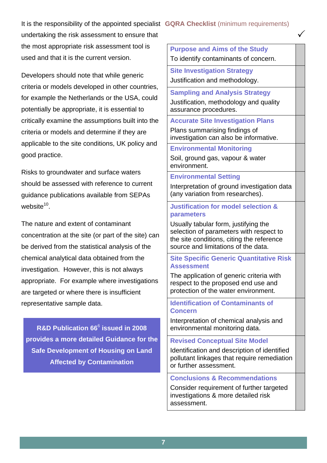It is the responsibility of the appointed specialist **GQRA Checklist** (minimum requirements)

undertaking the risk assessment to ensure that the most appropriate risk assessment tool is used and that it is the current version.

Developers should note that while generic criteria or models developed in other countries, for example the Netherlands or the USA, could potentially be appropriate, it is essential to critically examine the assumptions built into the criteria or models and determine if they are applicable to the site conditions, UK policy and good practice.

Risks to groundwater and surface waters should be assessed with reference to current guidance publications available from SEPAs website $10^{-10}$ 

The nature and extent of contaminant concentration at the site (or part of the site) can be derived from the statistical analysis of the chemical analytical data obtained from the investigation. However, this is not always appropriate. For example where investigations are targeted or where there is insufficient representative sample data.

**R&D Publication 66**<sup>6</sup>  **issued in 2008 provides a more detailed Guidance for the Safe Development of Housing on Land Affected by Contamination**

**Purpose and Aims of the Study** To identify contaminants of concern.  $\checkmark$ 

**Site Investigation Strategy** Justification and methodology.

**Sampling and Analysis Strategy** Justification, methodology and quality assurance procedures.

**Accurate Site Investigation Plans** Plans summarising findings of investigation can also be informative.

**Environmental Monitoring** Soil, ground gas, vapour & water environment.

### **Environmental Setting**

Interpretation of ground investigation data (any variation from researches).

### **Justification for model selection & parameters**

Usually tabular form, justifying the selection of parameters with respect to the site conditions, citing the reference source and limitations of the data.

**Site Specific Generic Quantitative Risk Assessment**

The application of generic criteria with respect to the proposed end use and protection of the water environment.

### **Identification of Contaminants of Concern**

Interpretation of chemical analysis and environmental monitoring data.

#### **Revised Conceptual Site Model**

Identification and description of identified pollutant linkages that require remediation or further assessment.

## **Conclusions & Recommendations**

Consider requirement of further targeted investigations & more detailed risk assessment.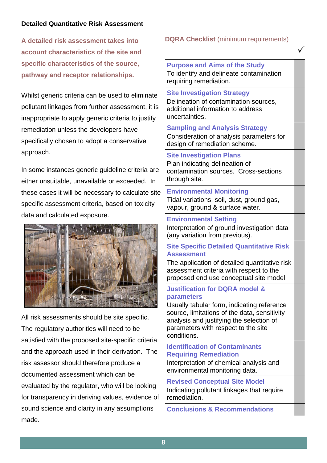## **Detailed Quantitative Risk Assessment**

**A detailed risk assessment takes into account characteristics of the site and specific characteristics of the source, pathway and receptor relationships.** 

Whilst generic criteria can be used to eliminate pollutant linkages from further assessment, it is inappropriate to apply generic criteria to justify remediation unless the developers have specifically chosen to adopt a conservative approach.

In some instances generic guideline criteria are either unsuitable, unavailable or exceeded. In these cases it will be necessary to calculate site specific assessment criteria, based on toxicity data and calculated exposure.



All risk assessments should be site specific. The regulatory authorities will need to be satisfied with the proposed site-specific criteria and the approach used in their derivation. The risk assessor should therefore produce a documented assessment which can be evaluated by the regulator, who will be looking for transparency in deriving values, evidence of sound science and clarity in any assumptions made.

#### **DQRA Checklist** (minimum requirements)

 $\checkmark$ 

**Purpose and Aims of the Study**  To identify and delineate contamination requiring remediation.

**Site Investigation Strategy**  Delineation of contamination sources, additional information to address uncertainties.

**Sampling and Analysis Strategy**  Consideration of analysis parameters for design of remediation scheme.

#### **Site Investigation Plans**

Plan indicating delineation of contamination sources. Cross-sections through site.

#### **Environmental Monitoring**  Tidal variations, soil, dust, ground gas, vapour, ground & surface water.

#### **Environmental Setting**

Interpretation of ground investigation data (any variation from previous).

### **Site Specific Detailed Quantitative Risk Assessment**

The application of detailed quantitative risk assessment criteria with respect to the proposed end use conceptual site model.

#### **Justification for DQRA model & parameters**

Usually tabular form, indicating reference source, limitations of the data, sensitivity analysis and justifying the selection of parameters with respect to the site conditions.

## **Identification of Contaminants Requiring Remediation**

Interpretation of chemical analysis and environmental monitoring data.

**Revised Conceptual Site Model**  Indicating pollutant linkages that require remediation.

**Conclusions & Recommendations**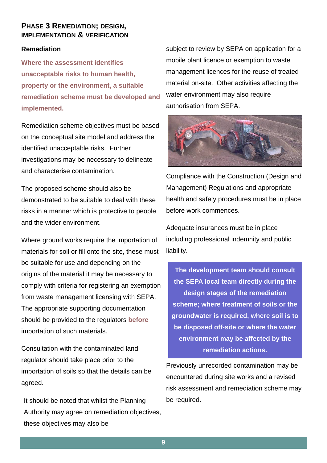## **PHASE 3 REMEDIATION; DESIGN, IMPLEMENTATION & VERIFICATION**

#### **Remediation**

**Where the assessment identifies unacceptable risks to human health, property or the environment, a suitable remediation scheme must be developed and implemented.**

Remediation scheme objectives must be based on the conceptual site model and address the identified unacceptable risks. Further investigations may be necessary to delineate and characterise contamination.

The proposed scheme should also be demonstrated to be suitable to deal with these risks in a manner which is protective to people and the wider environment.

Where ground works require the importation of materials for soil or fill onto the site, these must be suitable for use and depending on the origins of the material it may be necessary to comply with criteria for registering an exemption from waste management licensing with SEPA. The appropriate supporting documentation should be provided to the regulators **before** importation of such materials.

Consultation with the contaminated land regulator should take place prior to the importation of soils so that the details can be agreed.

It should be noted that whilst the Planning Authority may agree on remediation objectives, these objectives may also be

subject to review by SEPA on application for a mobile plant licence or exemption to waste management licences for the reuse of treated material on-site. Other activities affecting the water environment may also require authorisation from SEPA.



Compliance with the Construction (Design and Management) Regulations and appropriate health and safety procedures must be in place before work commences.

Adequate insurances must be in place including professional indemnity and public liability.

**The development team should consult the SEPA local team directly during the design stages of the remediation scheme; where treatment of soils or the groundwater is required, where soil is to be disposed off-site or where the water environment may be affected by the remediation actions.** 

Previously unrecorded contamination may be encountered during site works and a revised risk assessment and remediation scheme may be required.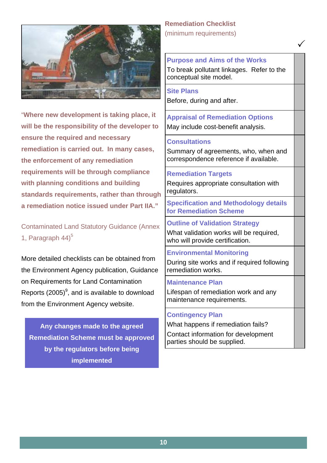

"**Where new development is taking place, it will be the responsibility of the developer to ensure the required and necessary remediation is carried out. In many cases, the enforcement of any remediation requirements will be through compliance with planning conditions and building standards requirements, rather than through a remediation notice issued under Part IIA."** 

Contaminated Land Statutory Guidance (Annex 1. Paragraph  $44$ <sup>5</sup>

More detailed checklists can be obtained from the Environment Agency publication, Guidance on Requirements for Land Contamination Reports (2005) $^9$ , and is available to download from the Environment Agency website.

**Any changes made to the agreed Remediation Scheme must be approved by the regulators before being implemented** 

**Remediation Checklist**  (minimum requirements)

**Purpose and Aims of the Works**  To break pollutant linkages. Refer to the conceptual site model.

 $\sqrt{2}$ 

#### **Site Plans**

Before, during and after.

**Appraisal of Remediation Options**  May include cost-benefit analysis.

#### **Consultations**

Summary of agreements, who, when and correspondence reference if available.

#### **Remediation Targets**

Requires appropriate consultation with regulators.

**Specification and Methodology details for Remediation Scheme** 

**Outline of Validation Strategy**  What validation works will be required. who will provide certification.

**Environmental Monitoring**  During site works and if required following remediation works.

#### **Maintenance Plan**

Lifespan of remediation work and any maintenance requirements.

#### **Contingency Plan**

What happens if remediation fails? Contact information for development parties should be supplied.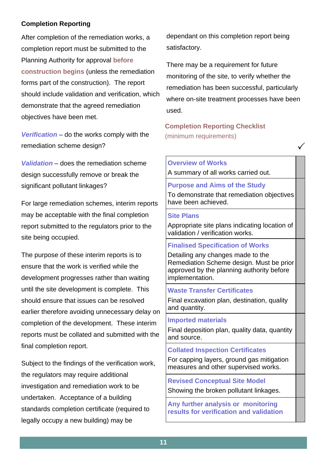## **Completion Reporting**

After completion of the remediation works, a completion report must be submitted to the Planning Authority for approval **before construction begins** (unless the remediation forms part of the construction). The report should include validation and verification, which demonstrate that the agreed remediation objectives have been met.

*Verification* – do the works comply with the remediation scheme design?

*Validation* – does the remediation scheme design successfully remove or break the significant pollutant linkages?

For large remediation schemes, interim reports may be acceptable with the final completion report submitted to the regulators prior to the site being occupied.

The purpose of these interim reports is to ensure that the work is verified while the development progresses rather than waiting until the site development is complete. This should ensure that issues can be resolved earlier therefore avoiding unnecessary delay on completion of the development. These interim reports must be collated and submitted with the final completion report.

Subject to the findings of the verification work, the regulators may require additional investigation and remediation work to be undertaken. Acceptance of a building standards completion certificate (required to legally occupy a new building) may be

dependant on this completion report being satisfactory.

There may be a requirement for future monitoring of the site, to verify whether the remediation has been successful, particularly where on-site treatment processes have been used.

## **Completion Reporting Checklist**  (minimum requirements)

### **Overview of Works**

A summary of all works carried out.

## **Purpose and Aims of the Study**

To demonstrate that remediation objectives have been achieved.

 $\checkmark$ 

### **Site Plans**

Appropriate site plans indicating location of validation / verification works.

## **Finalised Specification of Works**

Detailing any changes made to the Remediation Scheme design. Must be prior approved by the planning authority before implementation.

## **Waste Transfer Certificates**

Final excavation plan, destination, quality and quantity.

## **Imported materials**

Final deposition plan, quality data, quantity and source.

## **Collated Inspection Certificates**

For capping layers, ground gas mitigation measures and other supervised works.

**Revised Conceptual Site Model**  Showing the broken pollutant linkages.

**Any further analysis or monitoring results for verification and validation**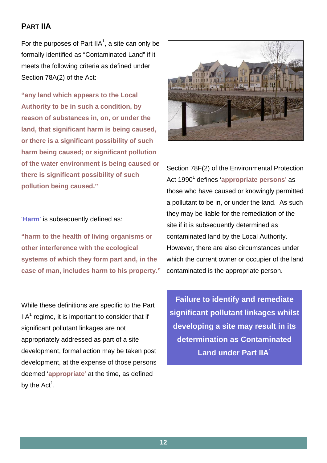# **PART IIA**

For the purposes of Part IIA<sup>1</sup>, a site can only be formally identified as "Contaminated Land" if it meets the following criteria as defined under Section 78A(2) of the Act:

**"any land which appears to the Local Authority to be in such a condition, by reason of substances in, on, or under the land, that significant harm is being caused, or there is a significant possibility of such harm being caused; or significant pollution of the water environment is being caused or there is significant possibility of such pollution being caused."** 

'**Harm**' is subsequently defined as:

**"harm to the health of living organisms or other interference with the ecological systems of which they form part and, in the case of man, includes harm to his property."**

While these definitions are specific to the Part  $IIA<sup>1</sup>$  regime, it is important to consider that if significant pollutant linkages are not appropriately addressed as part of a site development, formal action may be taken post development, at the expense of those persons deemed '**appropriate**' at the time, as defined by the  $Act^1$ .



Section 78F(2) of the Environmental Protection Act 1990<sup>1</sup> defines 'appropriate persons' as those who have caused or knowingly permitted a pollutant to be in, or under the land. As such they may be liable for the remediation of the site if it is subsequently determined as contaminated land by the Local Authority. However, there are also circumstances under which the current owner or occupier of the land contaminated is the appropriate person.

**Failure to identify and remediate significant pollutant linkages whilst developing a site may result in its determination as Contaminated Land under Part IIA<sup>1</sup>**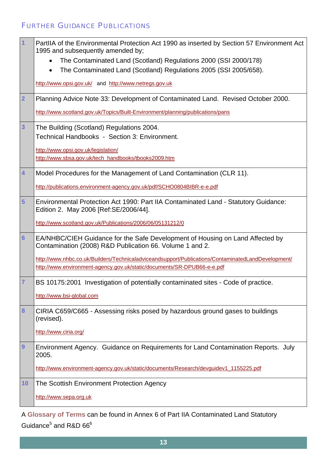# FURTHER GUIDANCE PUBLICATIONS

| $\overline{1}$          | PartllA of the Environmental Protection Act 1990 as inserted by Section 57 Environment Act<br>1995 and subsequently amended by;           |
|-------------------------|-------------------------------------------------------------------------------------------------------------------------------------------|
|                         | The Contaminated Land (Scotland) Regulations 2000 (SSI 2000/178)                                                                          |
|                         | The Contaminated Land (Scotland) Regulations 2005 (SSI 2005/658).<br>$\bullet$                                                            |
|                         | http://www.opsi.gov.uk/ and http://www.netregs.gov.uk                                                                                     |
| $\overline{2}$          | Planning Advice Note 33: Development of Contaminated Land. Revised October 2000.                                                          |
|                         | http://www.scotland.gov.uk/Topics/Built-Environment/planning/publications/pans                                                            |
| $\overline{\mathbf{3}}$ | The Building (Scotland) Regulations 2004.                                                                                                 |
|                         | Technical Handbooks - Section 3: Environment.                                                                                             |
|                         | http://www.opsi.gov.uk/legislation/                                                                                                       |
|                         | http://www.sbsa.gov.uk/tech_handbooks/tbooks2009.htm                                                                                      |
| $\overline{4}$          | Model Procedures for the Management of Land Contamination (CLR 11).                                                                       |
|                         | http://publications.environment-agency.gov.uk/pdf/SCHO0804BIBR-e-e.pdf                                                                    |
| 5                       | Environmental Protection Act 1990: Part IIA Contaminated Land - Statutory Guidance:<br>Edition 2. May 2006 [Ref:SE/2006/44].              |
|                         | http://www.scotland.gov.uk/Publications/2006/06/05131212/0                                                                                |
| $6\phantom{1}6$         | EA/NHBC/CIEH Guidance for the Safe Development of Housing on Land Affected by<br>Contamination (2008) R&D Publication 66. Volume 1 and 2. |
|                         | http://www.nhbc.co.uk/Builders/Technicaladviceandsupport/Publications/ContaminatedLandDevelopment/                                        |
|                         | http://www.environment-agency.gov.uk/static/documents/SR-DPUB66-e-e.pdf                                                                   |
| $\overline{7}$          | BS 10175:2001 Investigation of potentially contaminated sites - Code of practice.                                                         |
|                         | http://www.bsi-global.com                                                                                                                 |
| 8                       | CIRIA C659/C665 - Assessing risks posed by hazardous ground gases to buildings<br>(revised).                                              |
|                         | http://www.ciria.org/                                                                                                                     |
| 9                       | Environment Agency. Guidance on Requirements for Land Contamination Reports. July<br>2005.                                                |
|                         | http://www.environment-agency.gov.uk/static/documents/Research/devguidev1_1155225.pdf                                                     |
| 10                      | The Scottish Environment Protection Agency                                                                                                |
|                         | http://www.sepa.org.uk                                                                                                                    |

A **Glossary of Terms** can be found in Annex 6 of Part IIA Contaminated Land Statutory Guidance<sup>5</sup> and R&D 66<sup>6</sup>